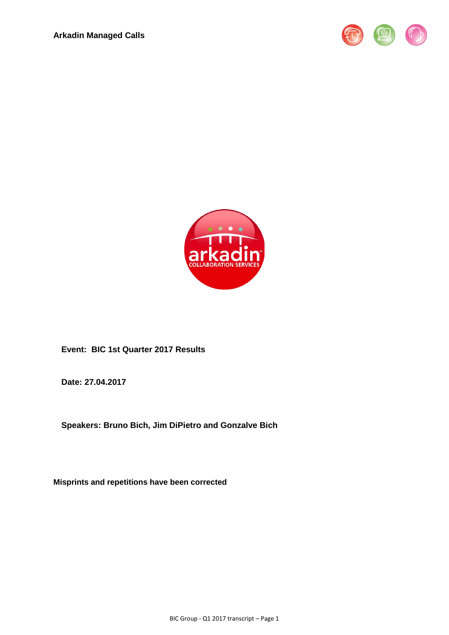



**Event: BIC 1st Quarter 2017 Results** 

**Date: 27.04.2017** 

**Speakers: Bruno Bich, Jim DiPietro and Gonzalve Bich**

**Misprints and repetitions have been corrected**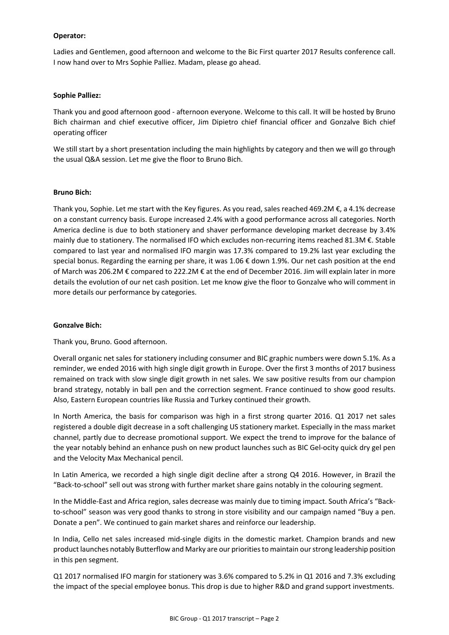### **Operator:**

Ladies and Gentlemen, good afternoon and welcome to the Bic First quarter 2017 Results conference call. I now hand over to Mrs Sophie Palliez. Madam, please go ahead.

#### **Sophie Palliez:**

Thank you and good afternoon good - afternoon everyone. Welcome to this call. It will be hosted by Bruno Bich chairman and chief executive officer, Jim Dipietro chief financial officer and Gonzalve Bich chief operating officer

We still start by a short presentation including the main highlights by category and then we will go through the usual Q&A session. Let me give the floor to Bruno Bich.

### **Bruno Bich:**

Thank you, Sophie. Let me start with the Key figures. As you read, sales reached 469.2M €, a 4.1% decrease on a constant currency basis. Europe increased 2.4% with a good performance across all categories. North America decline is due to both stationery and shaver performance developing market decrease by 3.4% mainly due to stationery. The normalised IFO which excludes non-recurring items reached 81.3M €. Stable compared to last year and normalised IFO margin was 17.3% compared to 19.2% last year excluding the special bonus. Regarding the earning per share, it was 1.06 € down 1.9%. Our net cash position at the end of March was 206.2M € compared to 222.2M € at the end of December 2016. Jim will explain later in more details the evolution of our net cash position. Let me know give the floor to Gonzalve who will comment in more details our performance by categories.

# **Gonzalve Bich:**

Thank you, Bruno. Good afternoon.

Overall organic net sales for stationery including consumer and BIC graphic numbers were down 5.1%. As a reminder, we ended 2016 with high single digit growth in Europe. Over the first 3 months of 2017 business remained on track with slow single digit growth in net sales. We saw positive results from our champion brand strategy, notably in ball pen and the correction segment. France continued to show good results. Also, Eastern European countries like Russia and Turkey continued their growth.

In North America, the basis for comparison was high in a first strong quarter 2016. Q1 2017 net sales registered a double digit decrease in a soft challenging US stationery market. Especially in the mass market channel, partly due to decrease promotional support. We expect the trend to improve for the balance of the year notably behind an enhance push on new product launches such as BIC Gel-ocity quick dry gel pen and the Velocity Max Mechanical pencil.

In Latin America, we recorded a high single digit decline after a strong Q4 2016. However, in Brazil the "Back-to-school" sell out was strong with further market share gains notably in the colouring segment.

In the Middle-East and Africa region, sales decrease was mainly due to timing impact. South Africa's "Backto-school" season was very good thanks to strong in store visibility and our campaign named "Buy a pen. Donate a pen". We continued to gain market shares and reinforce our leadership.

In India, Cello net sales increased mid-single digits in the domestic market. Champion brands and new product launches notably Butterflow and Marky are our priorities to maintain our strong leadership position in this pen segment.

Q1 2017 normalised IFO margin for stationery was 3.6% compared to 5.2% in Q1 2016 and 7.3% excluding the impact of the special employee bonus. This drop is due to higher R&D and grand support investments.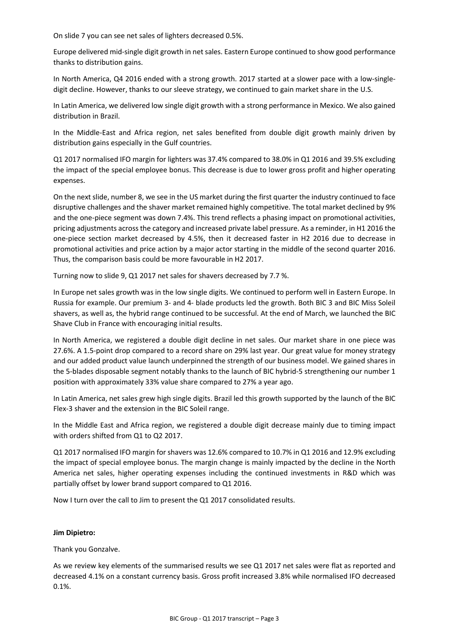On slide 7 you can see net sales of lighters decreased 0.5%.

Europe delivered mid-single digit growth in net sales. Eastern Europe continued to show good performance thanks to distribution gains.

In North America, Q4 2016 ended with a strong growth. 2017 started at a slower pace with a low-singledigit decline. However, thanks to our sleeve strategy, we continued to gain market share in the U.S.

In Latin America, we delivered low single digit growth with a strong performance in Mexico. We also gained distribution in Brazil.

In the Middle-East and Africa region, net sales benefited from double digit growth mainly driven by distribution gains especially in the Gulf countries.

Q1 2017 normalised IFO margin for lighters was 37.4% compared to 38.0% in Q1 2016 and 39.5% excluding the impact of the special employee bonus. This decrease is due to lower gross profit and higher operating expenses.

On the next slide, number 8, we see in the US market during the first quarter the industry continued to face disruptive challenges and the shaver market remained highly competitive. The total market declined by 9% and the one-piece segment was down 7.4%. This trend reflects a phasing impact on promotional activities, pricing adjustments across the category and increased private label pressure. As a reminder, in H1 2016 the one-piece section market decreased by 4.5%, then it decreased faster in H2 2016 due to decrease in promotional activities and price action by a major actor starting in the middle of the second quarter 2016. Thus, the comparison basis could be more favourable in H2 2017.

Turning now to slide 9, Q1 2017 net sales for shavers decreased by 7.7 %.

In Europe net sales growth was in the low single digits. We continued to perform well in Eastern Europe. In Russia for example. Our premium 3- and 4- blade products led the growth. Both BIC 3 and BIC Miss Soleil shavers, as well as, the hybrid range continued to be successful. At the end of March, we launched the BIC Shave Club in France with encouraging initial results.

In North America, we registered a double digit decline in net sales. Our market share in one piece was 27.6%. A 1.5-point drop compared to a record share on 29% last year. Our great value for money strategy and our added product value launch underpinned the strength of our business model. We gained shares in the 5-blades disposable segment notably thanks to the launch of BIC hybrid-5 strengthening our number 1 position with approximately 33% value share compared to 27% a year ago.

In Latin America, net sales grew high single digits. Brazil led this growth supported by the launch of the BIC Flex-3 shaver and the extension in the BIC Soleil range.

In the Middle East and Africa region, we registered a double digit decrease mainly due to timing impact with orders shifted from Q1 to Q2 2017.

Q1 2017 normalised IFO margin for shavers was 12.6% compared to 10.7% in Q1 2016 and 12.9% excluding the impact of special employee bonus. The margin change is mainly impacted by the decline in the North America net sales, higher operating expenses including the continued investments in R&D which was partially offset by lower brand support compared to Q1 2016.

Now I turn over the call to Jim to present the Q1 2017 consolidated results.

#### **Jim Dipietro:**

Thank you Gonzalve.

As we review key elements of the summarised results we see Q1 2017 net sales were flat as reported and decreased 4.1% on a constant currency basis. Gross profit increased 3.8% while normalised IFO decreased 0.1%.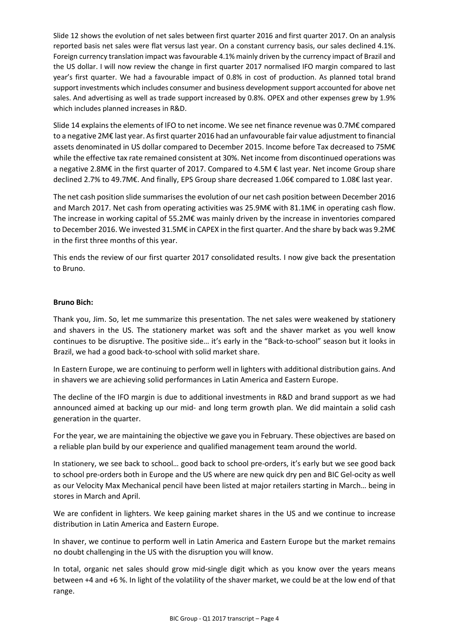Slide 12 shows the evolution of net sales between first quarter 2016 and first quarter 2017. On an analysis reported basis net sales were flat versus last year. On a constant currency basis, our sales declined 4.1%. Foreign currency translation impact was favourable 4.1% mainly driven by the currency impact of Brazil and the US dollar. I will now review the change in first quarter 2017 normalised IFO margin compared to last year's first quarter. We had a favourable impact of 0.8% in cost of production. As planned total brand support investments which includes consumer and business development support accounted for above net sales. And advertising as well as trade support increased by 0.8%. OPEX and other expenses grew by 1.9% which includes planned increases in R&D.

Slide 14 explains the elements of IFO to net income. We see net finance revenue was 0.7M€ compared to a negative 2M€ last year. As first quarter 2016 had an unfavourable fair value adjustment to financial assets denominated in US dollar compared to December 2015. Income before Tax decreased to 75M€ while the effective tax rate remained consistent at 30%. Net income from discontinued operations was a negative 2.8M€ in the first quarter of 2017. Compared to 4.5M € last year. Net income Group share declined 2.7% to 49.7M€. And finally, EPS Group share decreased 1.06€ compared to 1.08€ last year.

The net cash position slide summarises the evolution of our net cash position between December 2016 and March 2017. Net cash from operating activities was 25.9M€ with 81.1M€ in operating cash flow. The increase in working capital of 55.2M€ was mainly driven by the increase in inventories compared to December 2016. We invested 31.5M€ in CAPEX in the first quarter. And the share by back was 9.2M€ in the first three months of this year.

This ends the review of our first quarter 2017 consolidated results. I now give back the presentation to Bruno.

# **Bruno Bich:**

Thank you, Jim. So, let me summarize this presentation. The net sales were weakened by stationery and shavers in the US. The stationery market was soft and the shaver market as you well know continues to be disruptive. The positive side… it's early in the "Back-to-school" season but it looks in Brazil, we had a good back-to-school with solid market share.

In Eastern Europe, we are continuing to perform well in lighters with additional distribution gains. And in shavers we are achieving solid performances in Latin America and Eastern Europe.

The decline of the IFO margin is due to additional investments in R&D and brand support as we had announced aimed at backing up our mid- and long term growth plan. We did maintain a solid cash generation in the quarter.

For the year, we are maintaining the objective we gave you in February. These objectives are based on a reliable plan build by our experience and qualified management team around the world.

In stationery, we see back to school… good back to school pre-orders, it's early but we see good back to school pre-orders both in Europe and the US where are new quick dry pen and BIC Gel-ocity as well as our Velocity Max Mechanical pencil have been listed at major retailers starting in March… being in stores in March and April.

We are confident in lighters. We keep gaining market shares in the US and we continue to increase distribution in Latin America and Eastern Europe.

In shaver, we continue to perform well in Latin America and Eastern Europe but the market remains no doubt challenging in the US with the disruption you will know.

In total, organic net sales should grow mid-single digit which as you know over the years means between +4 and +6 %. In light of the volatility of the shaver market, we could be at the low end of that range.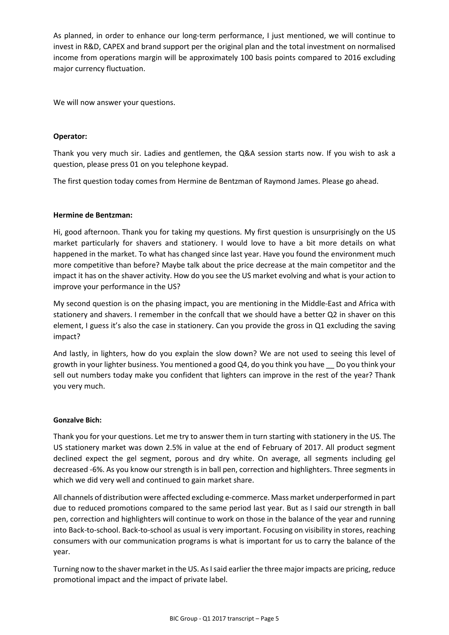As planned, in order to enhance our long-term performance, I just mentioned, we will continue to invest in R&D, CAPEX and brand support per the original plan and the total investment on normalised income from operations margin will be approximately 100 basis points compared to 2016 excluding major currency fluctuation.

We will now answer your questions.

# **Operator:**

Thank you very much sir. Ladies and gentlemen, the Q&A session starts now. If you wish to ask a question, please press 01 on you telephone keypad.

The first question today comes from Hermine de Bentzman of Raymond James. Please go ahead.

# **Hermine de Bentzman:**

Hi, good afternoon. Thank you for taking my questions. My first question is unsurprisingly on the US market particularly for shavers and stationery. I would love to have a bit more details on what happened in the market. To what has changed since last year. Have you found the environment much more competitive than before? Maybe talk about the price decrease at the main competitor and the impact it has on the shaver activity. How do you see the US market evolving and what is your action to improve your performance in the US?

My second question is on the phasing impact, you are mentioning in the Middle-East and Africa with stationery and shavers. I remember in the confcall that we should have a better Q2 in shaver on this element, I guess it's also the case in stationery. Can you provide the gross in Q1 excluding the saving impact?

And lastly, in lighters, how do you explain the slow down? We are not used to seeing this level of growth in your lighter business. You mentioned a good Q4, do you think you have \_\_ Do you think your sell out numbers today make you confident that lighters can improve in the rest of the year? Thank you very much.

# **Gonzalve Bich:**

Thank you for your questions. Let me try to answer them in turn starting with stationery in the US. The US stationery market was down 2.5% in value at the end of February of 2017. All product segment declined expect the gel segment, porous and dry white. On average, all segments including gel decreased -6%. As you know our strength is in ball pen, correction and highlighters. Three segments in which we did very well and continued to gain market share.

All channels of distribution were affected excluding e-commerce. Mass market underperformed in part due to reduced promotions compared to the same period last year. But as I said our strength in ball pen, correction and highlighters will continue to work on those in the balance of the year and running into Back-to-school. Back-to-school as usual is very important. Focusing on visibility in stores, reaching consumers with our communication programs is what is important for us to carry the balance of the year.

Turning now to the shaver market in the US. As I said earlier the three major impacts are pricing, reduce promotional impact and the impact of private label.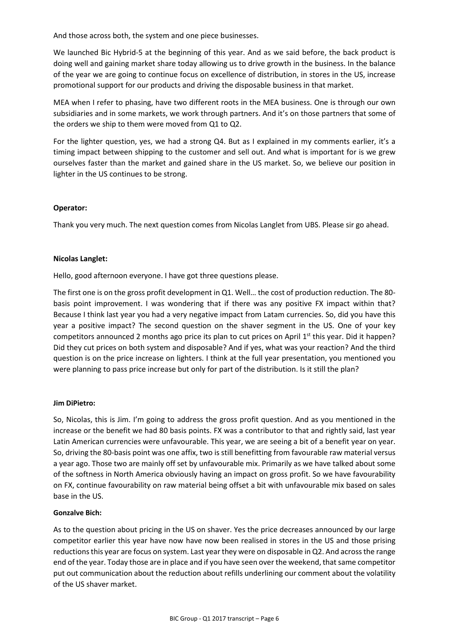And those across both, the system and one piece businesses.

We launched Bic Hybrid-5 at the beginning of this year. And as we said before, the back product is doing well and gaining market share today allowing us to drive growth in the business. In the balance of the year we are going to continue focus on excellence of distribution, in stores in the US, increase promotional support for our products and driving the disposable business in that market.

MEA when I refer to phasing, have two different roots in the MEA business. One is through our own subsidiaries and in some markets, we work through partners. And it's on those partners that some of the orders we ship to them were moved from Q1 to Q2.

For the lighter question, yes, we had a strong Q4. But as I explained in my comments earlier, it's a timing impact between shipping to the customer and sell out. And what is important for is we grew ourselves faster than the market and gained share in the US market. So, we believe our position in lighter in the US continues to be strong.

# **Operator:**

Thank you very much. The next question comes from Nicolas Langlet from UBS. Please sir go ahead.

# **Nicolas Langlet:**

Hello, good afternoon everyone. I have got three questions please.

The first one is on the gross profit development in Q1. Well… the cost of production reduction. The 80 basis point improvement. I was wondering that if there was any positive FX impact within that? Because I think last year you had a very negative impact from Latam currencies. So, did you have this year a positive impact? The second question on the shaver segment in the US. One of your key competitors announced 2 months ago price its plan to cut prices on April  $1<sup>st</sup>$  this year. Did it happen? Did they cut prices on both system and disposable? And if yes, what was your reaction? And the third question is on the price increase on lighters. I think at the full year presentation, you mentioned you were planning to pass price increase but only for part of the distribution. Is it still the plan?

# **Jim DiPietro:**

So, Nicolas, this is Jim. I'm going to address the gross profit question. And as you mentioned in the increase or the benefit we had 80 basis points. FX was a contributor to that and rightly said, last year Latin American currencies were unfavourable. This year, we are seeing a bit of a benefit year on year. So, driving the 80-basis point was one affix, two is still benefitting from favourable raw material versus a year ago. Those two are mainly off set by unfavourable mix. Primarily as we have talked about some of the softness in North America obviously having an impact on gross profit. So we have favourability on FX, continue favourability on raw material being offset a bit with unfavourable mix based on sales base in the US.

# **Gonzalve Bich:**

As to the question about pricing in the US on shaver. Yes the price decreases announced by our large competitor earlier this year have now have now been realised in stores in the US and those prising reductions this year are focus on system. Last year they were on disposable in Q2. And across the range end of the year. Today those are in place and if you have seen over the weekend, that same competitor put out communication about the reduction about refills underlining our comment about the volatility of the US shaver market.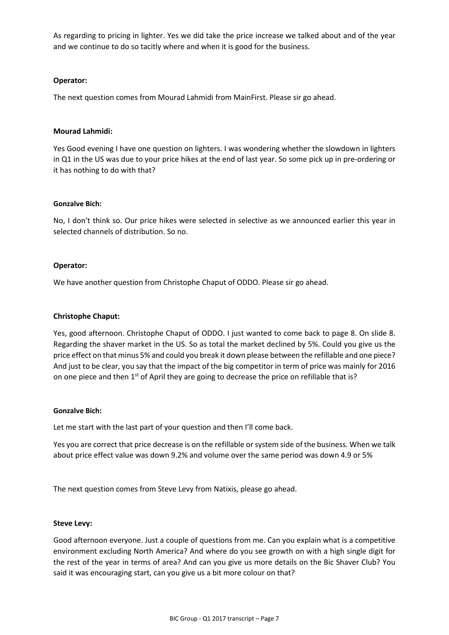As regarding to pricing in lighter. Yes we did take the price increase we talked about and of the year and we continue to do so tacitly where and when it is good for the business.

### **Operator:**

The next question comes from Mourad Lahmidi from MainFirst. Please sir go ahead.

#### **Mourad Lahmidi:**

Yes Good evening I have one question on lighters. I was wondering whether the slowdown in lighters in Q1 in the US was due to your price hikes at the end of last year. So some pick up in pre-ordering or it has nothing to do with that?

### **Gonzalve Bich:**

No, I don't think so. Our price hikes were selected in selective as we announced earlier this year in selected channels of distribution. So no.

### **Operator:**

We have another question from Christophe Chaput of ODDO. Please sir go ahead.

### **Christophe Chaput:**

Yes, good afternoon. Christophe Chaput of ODDO. I just wanted to come back to page 8. On slide 8. Regarding the shaver market in the US. So as total the market declined by 5%. Could you give us the price effect on that minus 5% and could you break it down please between the refillable and one piece? And just to be clear, you say that the impact of the big competitor in term of price was mainly for 2016 on one piece and then  $1<sup>st</sup>$  of April they are going to decrease the price on refillable that is?

#### **Gonzalve Bich:**

Let me start with the last part of your question and then I'll come back.

Yes you are correct that price decrease is on the refillable or system side of the business. When we talk about price effect value was down 9.2% and volume over the same period was down 4.9 or 5%

The next question comes from Steve Levy from Natixis, please go ahead.

#### **Steve Levy:**

Good afternoon everyone. Just a couple of questions from me. Can you explain what is a competitive environment excluding North America? And where do you see growth on with a high single digit for the rest of the year in terms of area? And can you give us more details on the Bic Shaver Club? You said it was encouraging start, can you give us a bit more colour on that?